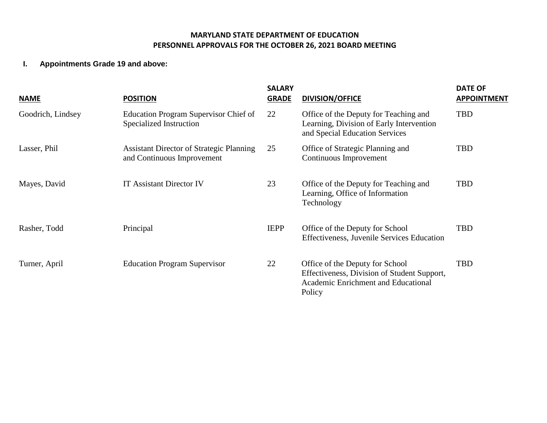## **MARYLAND STATE DEPARTMENT OF EDUCATION PERSONNEL APPROVALS FOR THE OCTOBER 26, 2021 BOARD MEETING**

## **I. Appointments Grade 19 and above:**

| <b>NAME</b>       | <b>POSITION</b>                                                               | <b>SALARY</b><br><b>GRADE</b> | <b>DIVISION/OFFICE</b>                                                                                                          | <b>DATE OF</b><br><b>APPOINTMENT</b> |
|-------------------|-------------------------------------------------------------------------------|-------------------------------|---------------------------------------------------------------------------------------------------------------------------------|--------------------------------------|
| Goodrich, Lindsey | Education Program Supervisor Chief of<br>Specialized Instruction              | 22                            | Office of the Deputy for Teaching and<br>Learning, Division of Early Intervention<br>and Special Education Services             | <b>TBD</b>                           |
| Lasser, Phil      | <b>Assistant Director of Strategic Planning</b><br>and Continuous Improvement | 25                            | Office of Strategic Planning and<br>Continuous Improvement                                                                      | <b>TBD</b>                           |
| Mayes, David      | <b>IT Assistant Director IV</b>                                               | 23                            | Office of the Deputy for Teaching and<br>Learning, Office of Information<br>Technology                                          | <b>TBD</b>                           |
| Rasher, Todd      | Principal                                                                     | <b>IEPP</b>                   | Office of the Deputy for School<br><b>Effectiveness, Juvenile Services Education</b>                                            | <b>TBD</b>                           |
| Turner, April     | <b>Education Program Supervisor</b>                                           | 22                            | Office of the Deputy for School<br>Effectiveness, Division of Student Support,<br>Academic Enrichment and Educational<br>Policy | <b>TBD</b>                           |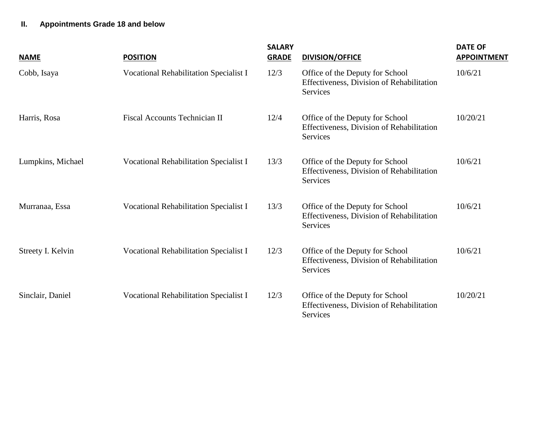## **II. Appointments Grade 18 and below**

| <b>NAME</b>       | <b>POSITION</b>                               | <b>SALARY</b><br><b>GRADE</b> | <b>DIVISION/OFFICE</b>                                                                   | <b>DATE OF</b><br><b>APPOINTMENT</b> |
|-------------------|-----------------------------------------------|-------------------------------|------------------------------------------------------------------------------------------|--------------------------------------|
| Cobb, Isaya       | Vocational Rehabilitation Specialist I        | 12/3                          | Office of the Deputy for School<br>Effectiveness, Division of Rehabilitation<br>Services | 10/6/21                              |
| Harris, Rosa      | Fiscal Accounts Technician II                 | 12/4                          | Office of the Deputy for School<br>Effectiveness, Division of Rehabilitation<br>Services | 10/20/21                             |
| Lumpkins, Michael | <b>Vocational Rehabilitation Specialist I</b> | 13/3                          | Office of the Deputy for School<br>Effectiveness, Division of Rehabilitation<br>Services | 10/6/21                              |
| Murranaa, Essa    | Vocational Rehabilitation Specialist I        | 13/3                          | Office of the Deputy for School<br>Effectiveness, Division of Rehabilitation<br>Services | 10/6/21                              |
| Streety I. Kelvin | Vocational Rehabilitation Specialist I        | 12/3                          | Office of the Deputy for School<br>Effectiveness, Division of Rehabilitation<br>Services | 10/6/21                              |
| Sinclair, Daniel  | Vocational Rehabilitation Specialist I        | 12/3                          | Office of the Deputy for School<br>Effectiveness, Division of Rehabilitation<br>Services | 10/20/21                             |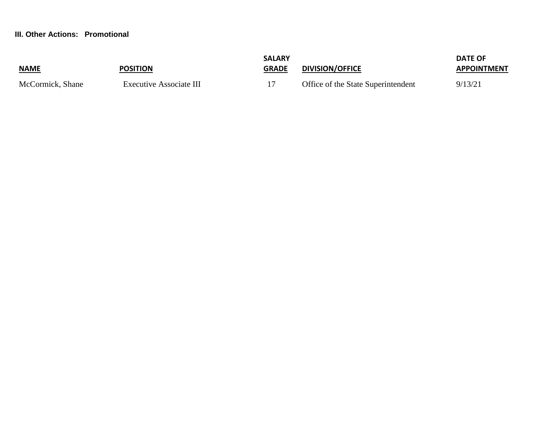#### **III. Other Actions: Promotional**

| <b>NAME</b>      | <b>POSITION</b>         | <b>SALARY</b><br><b>GRADE</b> | <b>DIVISION/OFFICE</b>             | <b>DATE OF</b><br><b>APPOINTMENT</b> |
|------------------|-------------------------|-------------------------------|------------------------------------|--------------------------------------|
| McCormick, Shane | Executive Associate III |                               | Office of the State Superintendent | 9/13/21                              |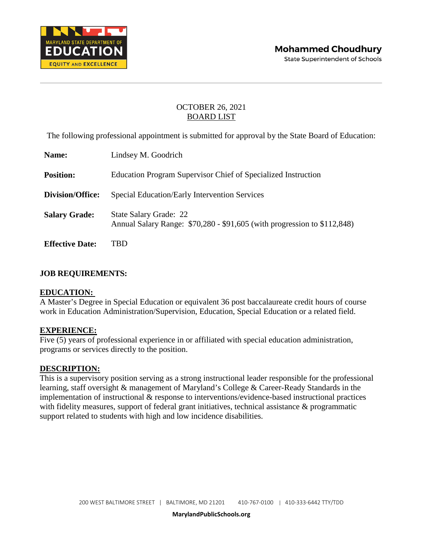

The following professional appointment is submitted for approval by the State Board of Education:

| Name:                  | Lindsey M. Goodrich                                                                                |
|------------------------|----------------------------------------------------------------------------------------------------|
| <b>Position:</b>       | Education Program Supervisor Chief of Specialized Instruction                                      |
| Division/Office:       | <b>Special Education/Early Intervention Services</b>                                               |
| <b>Salary Grade:</b>   | State Salary Grade: 22<br>Annual Salary Range: \$70,280 - \$91,605 (with progression to \$112,848) |
| <b>Effective Date:</b> | TBD                                                                                                |

#### **JOB REQUIREMENTS:**

#### **EDUCATION:**

A Master's Degree in Special Education or equivalent 36 post baccalaureate credit hours of course work in Education Administration/Supervision, Education, Special Education or a related field.

#### **EXPERIENCE:**

Five (5) years of professional experience in or affiliated with special education administration, programs or services directly to the position.

#### **DESCRIPTION:**

This is a supervisory position serving as a strong instructional leader responsible for the professional learning, staff oversight & management of Maryland's College & Career-Ready Standards in the implementation of instructional & response to interventions/evidence-based instructional practices with fidelity measures, support of federal grant initiatives, technical assistance & programmatic support related to students with high and low incidence disabilities.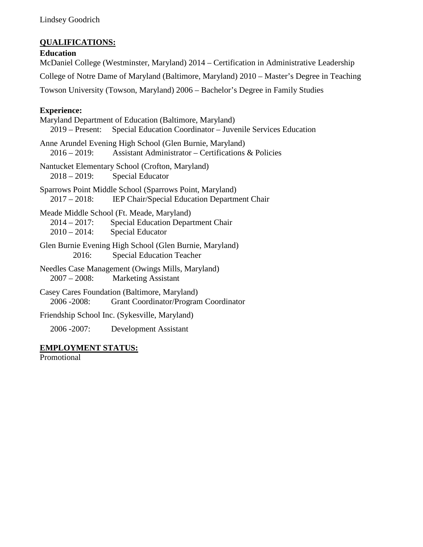Lindsey Goodrich

## **QUALIFICATIONS:**

#### **Education**

McDaniel College (Westminster, Maryland) 2014 – Certification in Administrative Leadership College of Notre Dame of Maryland (Baltimore, Maryland) 2010 – Master's Degree in Teaching Towson University (Towson, Maryland) 2006 – Bachelor's Degree in Family Studies

## **Experience:**

Maryland Department of Education (Baltimore, Maryland) 2019 – Present: Special Education Coordinator – Juvenile Services Education Anne Arundel Evening High School (Glen Burnie, Maryland) 2016 – 2019: Assistant Administrator – Certifications & Policies Nantucket Elementary School (Crofton, Maryland) 2018 – 2019: Special Educator Sparrows Point Middle School (Sparrows Point, Maryland) 2017 – 2018: IEP Chair/Special Education Department Chair Meade Middle School (Ft. Meade, Maryland) 2014 – 2017: Special Education Department Chair 2010 – 2014: Special Educator Glen Burnie Evening High School (Glen Burnie, Maryland) 2016: Special Education Teacher Needles Case Management (Owings Mills, Maryland) 2007 – 2008: Marketing Assistant Casey Cares Foundation (Baltimore, Maryland) 2006 -2008: Grant Coordinator/Program Coordinator Friendship School Inc. (Sykesville, Maryland) 2006 -2007: Development Assistant

# **EMPLOYMENT STATUS:**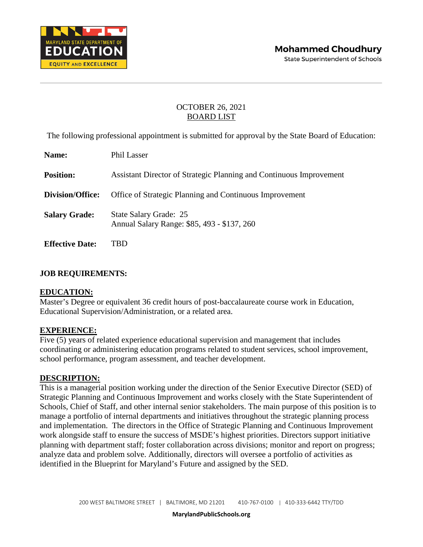

The following professional appointment is submitted for approval by the State Board of Education:

| Name:                  | Phil Lasser                                                           |
|------------------------|-----------------------------------------------------------------------|
| <b>Position:</b>       | Assistant Director of Strategic Planning and Continuous Improvement   |
| Division/Office:       | Office of Strategic Planning and Continuous Improvement               |
| <b>Salary Grade:</b>   | State Salary Grade: 25<br>Annual Salary Range: \$85, 493 - \$137, 260 |
| <b>Effective Date:</b> | TBD                                                                   |

#### **JOB REQUIREMENTS:**

#### **EDUCATION:**

Master's Degree or equivalent 36 credit hours of post-baccalaureate course work in Education, Educational Supervision/Administration, or a related area.

#### **EXPERIENCE:**

Five (5) years of related experience educational supervision and management that includes coordinating or administering education programs related to student services, school improvement, school performance, program assessment, and teacher development.

#### **DESCRIPTION:**

This is a managerial position working under the direction of the Senior Executive Director (SED) of Strategic Planning and Continuous Improvement and works closely with the State Superintendent of Schools, Chief of Staff, and other internal senior stakeholders. The main purpose of this position is to manage a portfolio of internal departments and initiatives throughout the strategic planning process and implementation. The directors in the Office of Strategic Planning and Continuous Improvement work alongside staff to ensure the success of MSDE's highest priorities. Directors support initiative planning with department staff; foster collaboration across divisions; monitor and report on progress; analyze data and problem solve. Additionally, directors will oversee a portfolio of activities as identified in the Blueprint for Maryland's Future and assigned by the SED.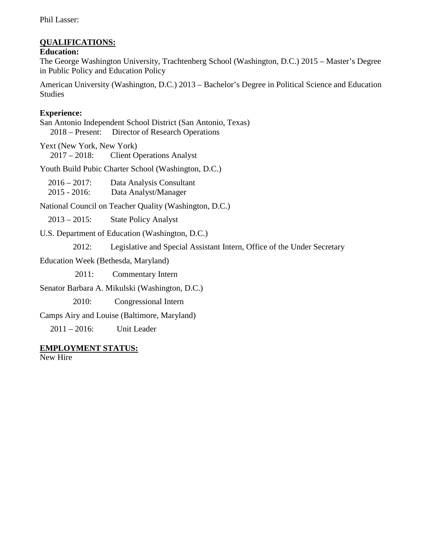Phil Lasser:

## **QUALIFICATIONS:**

#### **Education:**

The George Washington University, Trachtenberg School (Washington, D.C.) 2015 – Master's Degree in Public Policy and Education Policy

American University (Washington, D.C.) 2013 – Bachelor's Degree in Political Science and Education Studies

## **Experience:**

San Antonio Independent School District (San Antonio, Texas) 2018 – Present: Director of Research Operations

Yext (New York, New York) 2017 – 2018: Client Operations Analyst

Youth Build Pubic Charter School (Washington, D.C.)

| $2016 - 2017$ : | Data Analysis Consultant |
|-----------------|--------------------------|
| $2015 - 2016$ : | Data Analyst/Manager     |

National Council on Teacher Quality (Washington, D.C.)

2013 – 2015: State Policy Analyst

U.S. Department of Education (Washington, D.C.)

2012: Legislative and Special Assistant Intern, Office of the Under Secretary

Education Week (Bethesda, Maryland)

2011: Commentary Intern

Senator Barbara A. Mikulski (Washington, D.C.)

2010: Congressional Intern

Camps Airy and Louise (Baltimore, Maryland)

2011 – 2016: Unit Leader

## **EMPLOYMENT STATUS:**

New Hire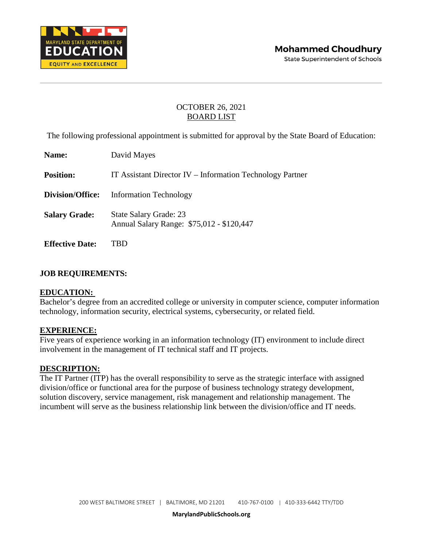

The following professional appointment is submitted for approval by the State Board of Education:

| Name:                   | David Mayes                                                         |
|-------------------------|---------------------------------------------------------------------|
| <b>Position:</b>        | IT Assistant Director IV – Information Technology Partner           |
| <b>Division/Office:</b> | <b>Information Technology</b>                                       |
| <b>Salary Grade:</b>    | State Salary Grade: 23<br>Annual Salary Range: \$75,012 - \$120,447 |
| <b>Effective Date:</b>  |                                                                     |

## **JOB REQUIREMENTS:**

### **EDUCATION:**

Bachelor's degree from an accredited college or university in computer science, computer information technology, information security, electrical systems, cybersecurity, or related field.

### **EXPERIENCE:**

Five years of experience working in an information technology (IT) environment to include direct involvement in the management of IT technical staff and IT projects.

#### **DESCRIPTION:**

The IT Partner (ITP) has the overall responsibility to serve as the strategic interface with assigned division/office or functional area for the purpose of business technology strategy development, solution discovery, service management, risk management and relationship management. The incumbent will serve as the business relationship link between the division/office and IT needs.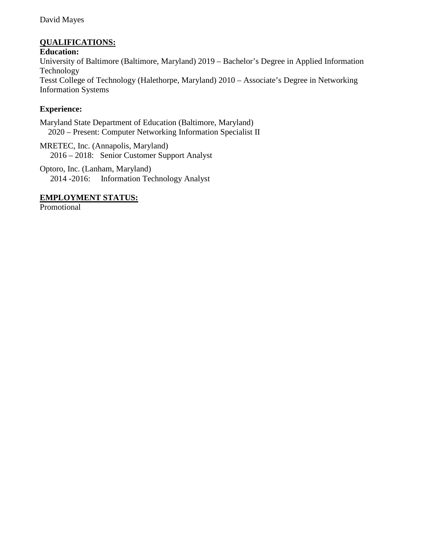### David Mayes

## **QUALIFICATIONS:**

**Education:** University of Baltimore (Baltimore, Maryland) 2019 – Bachelor's Degree in Applied Information Technology Tesst College of Technology (Halethorpe, Maryland) 2010 – Associate's Degree in Networking Information Systems

## **Experience:**

Maryland State Department of Education (Baltimore, Maryland) 2020 – Present: Computer Networking Information Specialist II

MRETEC, Inc. (Annapolis, Maryland) 2016 – 2018: Senior Customer Support Analyst

Optoro, Inc. (Lanham, Maryland) 2014 -2016: Information Technology Analyst

#### **EMPLOYMENT STATUS:**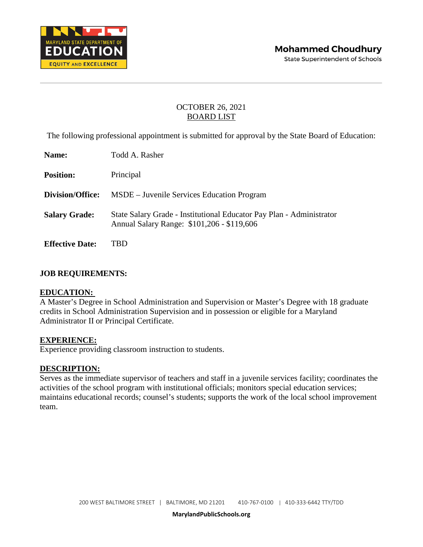

The following professional appointment is submitted for approval by the State Board of Education:

| Name:                   | Todd A. Rasher                                                                                                     |
|-------------------------|--------------------------------------------------------------------------------------------------------------------|
| <b>Position:</b>        | Principal                                                                                                          |
| <b>Division/Office:</b> | MSDE – Juvenile Services Education Program                                                                         |
| <b>Salary Grade:</b>    | State Salary Grade - Institutional Educator Pay Plan - Administrator<br>Annual Salary Range: \$101,206 - \$119,606 |
| <b>Effective Date:</b>  | TBD                                                                                                                |

#### **JOB REQUIREMENTS:**

#### **EDUCATION:**

A Master's Degree in School Administration and Supervision or Master's Degree with 18 graduate credits in School Administration Supervision and in possession or eligible for a Maryland Administrator II or Principal Certificate.

#### **EXPERIENCE:**

Experience providing classroom instruction to students.

#### **DESCRIPTION:**

Serves as the immediate supervisor of teachers and staff in a juvenile services facility; coordinates the activities of the school program with institutional officials; monitors special education services; maintains educational records; counsel's students; supports the work of the local school improvement team.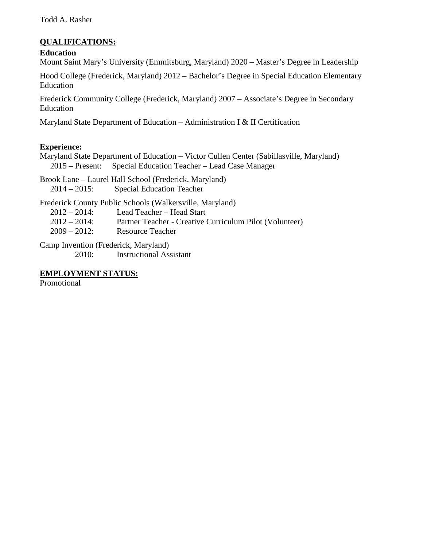## **QUALIFICATIONS:**

### **Education**

Mount Saint Mary's University (Emmitsburg, Maryland) 2020 – Master's Degree in Leadership

Hood College (Frederick, Maryland) 2012 – Bachelor's Degree in Special Education Elementary Education

Frederick Community College (Frederick, Maryland) 2007 – Associate's Degree in Secondary Education

Maryland State Department of Education – Administration I & II Certification

## **Experience:**

Maryland State Department of Education – Victor Cullen Center (Sabillasville, Maryland) 2015 – Present: Special Education Teacher – Lead Case Manager

Brook Lane – Laurel Hall School (Frederick, Maryland) 2014 – 2015: Special Education Teacher

Frederick County Public Schools (Walkersville, Maryland) 2012 – 2014: Lead Teacher – Head Start 2012 – 2014: Partner Teacher - Creative Curriculum Pilot (Volunteer) 2009 – 2012: Resource Teacher

Camp Invention (Frederick, Maryland) 2010: Instructional Assistant

### **EMPLOYMENT STATUS:**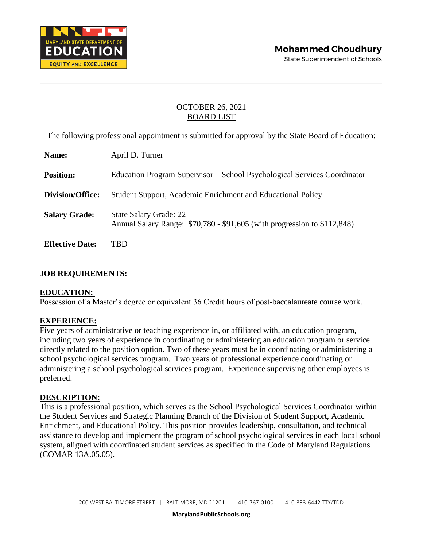

The following professional appointment is submitted for approval by the State Board of Education:

| Name:                  | April D. Turner                                                                                           |
|------------------------|-----------------------------------------------------------------------------------------------------------|
| <b>Position:</b>       | Education Program Supervisor – School Psychological Services Coordinator                                  |
| Division/Office:       | Student Support, Academic Enrichment and Educational Policy                                               |
| <b>Salary Grade:</b>   | <b>State Salary Grade: 22</b><br>Annual Salary Range: \$70,780 - \$91,605 (with progression to \$112,848) |
| <b>Effective Date:</b> | TBD                                                                                                       |

## **JOB REQUIREMENTS:**

### **EDUCATION:**

Possession of a Master's degree or equivalent 36 Credit hours of post-baccalaureate course work.

### **EXPERIENCE:**

Five years of administrative or teaching experience in, or affiliated with, an education program, including two years of experience in coordinating or administering an education program or service directly related to the position option. Two of these years must be in coordinating or administering a school psychological services program. Two years of professional experience coordinating or administering a school psychological services program. Experience supervising other employees is preferred.

#### **DESCRIPTION:**

This is a professional position, which serves as the School Psychological Services Coordinator within the Student Services and Strategic Planning Branch of the Division of Student Support, Academic Enrichment, and Educational Policy. This position provides leadership, consultation, and technical assistance to develop and implement the program of school psychological services in each local school system, aligned with coordinated student services as specified in the Code of Maryland Regulations (COMAR 13A.05.05).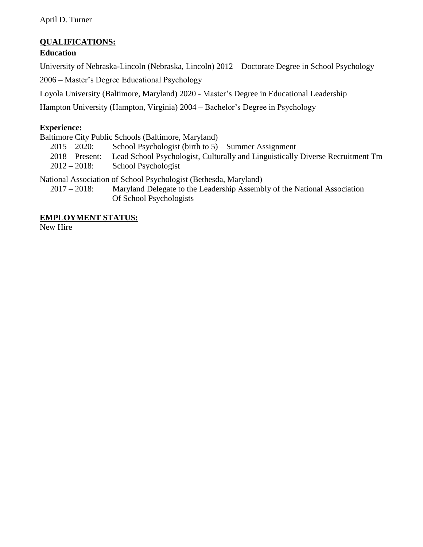## **QUALIFICATIONS:**

## **Education**

University of Nebraska-Lincoln (Nebraska, Lincoln) 2012 – Doctorate Degree in School Psychology

2006 – Master's Degree Educational Psychology

Loyola University (Baltimore, Maryland) 2020 - Master's Degree in Educational Leadership

Hampton University (Hampton, Virginia) 2004 – Bachelor's Degree in Psychology

## **Experience:**

Baltimore City Public Schools (Baltimore, Maryland)

- 2015 2020: School Psychologist (birth to 5) Summer Assignment
- 2018 Present: Lead School Psychologist, Culturally and Linguistically Diverse Recruitment Tm
- 2012 2018: School Psychologist

National Association of School Psychologist (Bethesda, Maryland)

 2017 – 2018: Maryland Delegate to the Leadership Assembly of the National Association Of School Psychologists

## **EMPLOYMENT STATUS:**

New Hire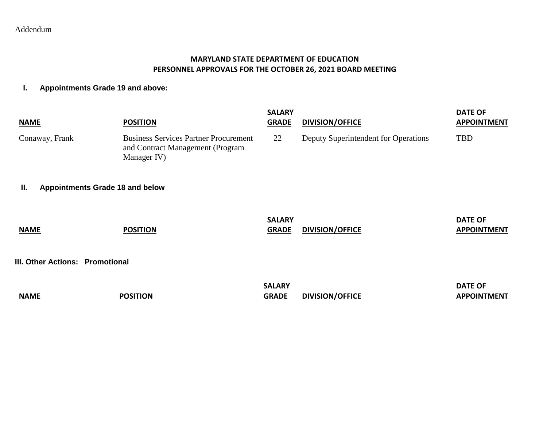## Addendum

### **MARYLAND STATE DEPARTMENT OF EDUCATION PERSONNEL APPROVALS FOR THE OCTOBER 26, 2021 BOARD MEETING**

### **I. Appointments Grade 19 and above:**

| <b>NAME</b>                                  | <b>POSITION</b>                                                                                 | <b>SALARY</b><br><b>GRADE</b> | <b>DIVISION/OFFICE</b>               | <b>DATE OF</b><br><b>APPOINTMENT</b> |
|----------------------------------------------|-------------------------------------------------------------------------------------------------|-------------------------------|--------------------------------------|--------------------------------------|
| Conaway, Frank                               | <b>Business Services Partner Procurement</b><br>and Contract Management (Program<br>Manager IV) | 22                            | Deputy Superintendent for Operations | <b>TBD</b>                           |
| <b>Appointments Grade 18 and below</b><br>Ш. |                                                                                                 |                               |                                      |                                      |
| <b>NAME</b>                                  | <b>POSITION</b>                                                                                 | <b>SALARY</b><br><b>GRADE</b> | DIVISION/OFFICE                      | <b>DATE OF</b><br><b>APPOINTMENT</b> |
| III. Other Actions: Promotional              |                                                                                                 |                               |                                      |                                      |
| <b>NAME</b>                                  | <b>POSITION</b>                                                                                 | <b>SALARY</b><br><b>GRADE</b> | <b>DIVISION/OFFICE</b>               | <b>DATE OF</b><br><b>APPOINTMENT</b> |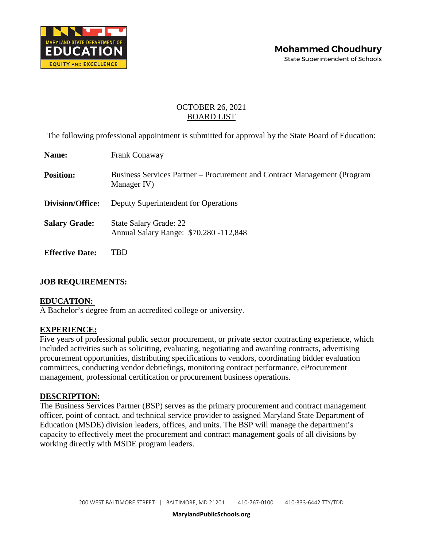

The following professional appointment is submitted for approval by the State Board of Education:

| <b>Name:</b>           | <b>Frank Conaway</b>                                                                    |
|------------------------|-----------------------------------------------------------------------------------------|
| <b>Position:</b>       | Business Services Partner – Procurement and Contract Management (Program<br>Manager IV) |
| Division/Office:       | Deputy Superintendent for Operations                                                    |
| <b>Salary Grade:</b>   | <b>State Salary Grade: 22</b><br>Annual Salary Range: \$70,280 -112,848                 |
| <b>Effective Date:</b> | TBD                                                                                     |

### **JOB REQUIREMENTS:**

### **EDUCATION:**

A Bachelor's degree from an accredited college or university.

#### **EXPERIENCE:**

Five years of professional public sector procurement, or private sector contracting experience, which included activities such as soliciting, evaluating, negotiating and awarding contracts, advertising procurement opportunities, distributing specifications to vendors, coordinating bidder evaluation committees, conducting vendor debriefings, monitoring contract performance, eProcurement management, professional certification or procurement business operations.

#### **DESCRIPTION:**

The Business Services Partner (BSP) serves as the primary procurement and contract management officer, point of contact, and technical service provider to assigned Maryland State Department of Education (MSDE) division leaders, offices, and units. The BSP will manage the department's capacity to effectively meet the procurement and contract management goals of all divisions by working directly with MSDE program leaders.